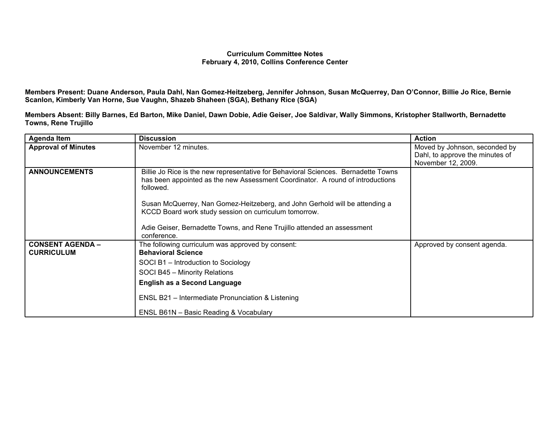## **Curriculum Committee Notes February 4, 2010, Collins Conference Center**

Members Present: Duane Anderson, Paula Dahl, Nan Gomez-Heitzeberg, Jennifer Johnson, Susan McQuerrey, Dan O'Connor, Billie Jo Rice, Bernie **Scanlon, Kimberly Van Horne, Sue Vaughn, Shazeb Shaheen (SGA), Bethany Rice (SGA)**

Members Absent: Billy Barnes, Ed Barton, Mike Daniel, Dawn Dobie, Adie Geiser, Joe Saldivar, Wally Simmons, Kristopher Stallworth, Bernadette **Towns, Rene Trujillo**

| <b>Agenda Item</b>                           | <b>Discussion</b>                                                                                                                                                                 | <b>Action</b>                                                    |
|----------------------------------------------|-----------------------------------------------------------------------------------------------------------------------------------------------------------------------------------|------------------------------------------------------------------|
| <b>Approval of Minutes</b>                   | November 12 minutes.                                                                                                                                                              | Moved by Johnson, seconded by<br>Dahl, to approve the minutes of |
|                                              |                                                                                                                                                                                   | November 12, 2009.                                               |
| <b>ANNOUNCEMENTS</b>                         | Billie Jo Rice is the new representative for Behavioral Sciences. Bernadette Towns<br>has been appointed as the new Assessment Coordinator. A round of introductions<br>followed. |                                                                  |
|                                              | Susan McQuerrey, Nan Gomez-Heitzeberg, and John Gerhold will be attending a<br>KCCD Board work study session on curriculum tomorrow.                                              |                                                                  |
|                                              | Adie Geiser, Bernadette Towns, and Rene Trujillo attended an assessment<br>conference.                                                                                            |                                                                  |
| <b>CONSENT AGENDA -</b><br><b>CURRICULUM</b> | The following curriculum was approved by consent:<br><b>Behavioral Science</b>                                                                                                    | Approved by consent agenda.                                      |
|                                              | SOCI B1 - Introduction to Sociology                                                                                                                                               |                                                                  |
|                                              | SOCI B45 - Minority Relations                                                                                                                                                     |                                                                  |
|                                              | <b>English as a Second Language</b>                                                                                                                                               |                                                                  |
|                                              | ENSL B21 - Intermediate Pronunciation & Listening                                                                                                                                 |                                                                  |
|                                              | ENSL B61N - Basic Reading & Vocabulary                                                                                                                                            |                                                                  |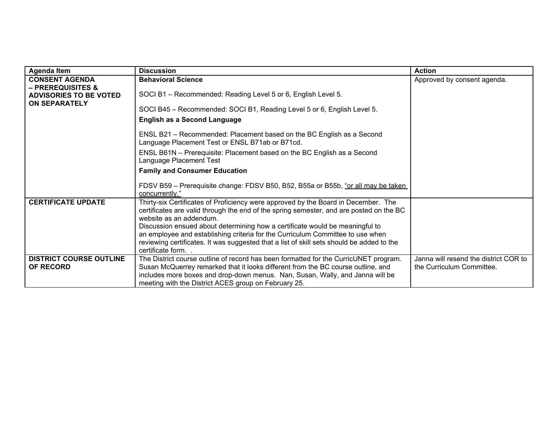| <b>Agenda Item</b>                                                                                             | <b>Discussion</b>                                                                                                                                                                                                                                                                                                                                                                                                                                                       | <b>Action</b>                                                      |
|----------------------------------------------------------------------------------------------------------------|-------------------------------------------------------------------------------------------------------------------------------------------------------------------------------------------------------------------------------------------------------------------------------------------------------------------------------------------------------------------------------------------------------------------------------------------------------------------------|--------------------------------------------------------------------|
| <b>CONSENT AGENDA</b><br><b>– PREREQUISITES &amp;</b><br><b>ADVISORIES TO BE VOTED</b><br><b>ON SEPARATELY</b> | <b>Behavioral Science</b>                                                                                                                                                                                                                                                                                                                                                                                                                                               | Approved by consent agenda.                                        |
|                                                                                                                | SOCI B1 - Recommended: Reading Level 5 or 6, English Level 5.                                                                                                                                                                                                                                                                                                                                                                                                           |                                                                    |
|                                                                                                                | SOCI B45 - Recommended: SOCI B1, Reading Level 5 or 6, English Level 5.                                                                                                                                                                                                                                                                                                                                                                                                 |                                                                    |
|                                                                                                                | <b>English as a Second Language</b>                                                                                                                                                                                                                                                                                                                                                                                                                                     |                                                                    |
|                                                                                                                | ENSL B21 – Recommended: Placement based on the BC English as a Second<br>Language Placement Test or ENSL B71ab or B71cd.                                                                                                                                                                                                                                                                                                                                                |                                                                    |
|                                                                                                                | ENSL B61N - Prerequisite: Placement based on the BC English as a Second<br>Language Placement Test                                                                                                                                                                                                                                                                                                                                                                      |                                                                    |
|                                                                                                                | <b>Family and Consumer Education</b>                                                                                                                                                                                                                                                                                                                                                                                                                                    |                                                                    |
|                                                                                                                | FDSV B59 - Prerequisite change: FDSV B50, B52, B55a or B55b, "or all may be taken<br>concurrently."                                                                                                                                                                                                                                                                                                                                                                     |                                                                    |
| <b>CERTIFICATE UPDATE</b>                                                                                      | Thirty-six Certificates of Proficiency were approved by the Board in December. The<br>certificates are valid through the end of the spring semester, and are posted on the BC<br>website as an addendum.<br>Discussion ensued about determining how a certificate would be meaningful to<br>an employee and establishing criteria for the Curriculum Committee to use when<br>reviewing certificates. It was suggested that a list of skill sets should be added to the |                                                                    |
|                                                                                                                | certificate form.                                                                                                                                                                                                                                                                                                                                                                                                                                                       |                                                                    |
| <b>DISTRICT COURSE OUTLINE</b><br><b>OF RECORD</b>                                                             | The District course outline of record has been formatted for the CurricUNET program.<br>Susan McQuerrey remarked that it looks different from the BC course outline, and<br>includes more boxes and drop-down menus. Nan, Susan, Wally, and Janna will be                                                                                                                                                                                                               | Janna will resend the district COR to<br>the Curriculum Committee. |
|                                                                                                                | meeting with the District ACES group on February 25.                                                                                                                                                                                                                                                                                                                                                                                                                    |                                                                    |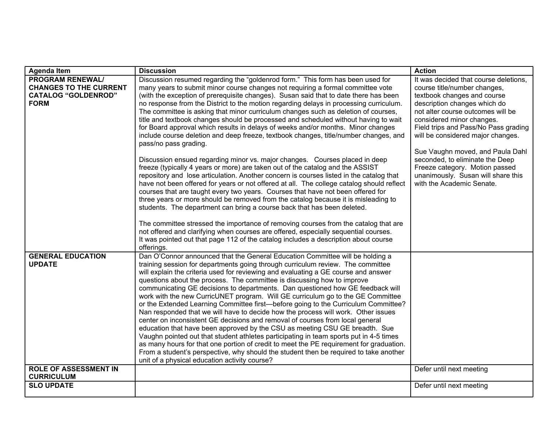| <b>Agenda Item</b>                                                                                    | <b>Discussion</b>                                                                                                                                                                                                                                                                                                                                                                                                                                                                                                                                                                                                                                                                                                                                                                                                                                                                                                                                                                                                                                                                                                                                                                                                                                                                                                                                                                                                                                                                                                                                                                                                       | <b>Action</b>                                                                                                                                                                                                                                                                                                                                                                                                                                                   |
|-------------------------------------------------------------------------------------------------------|-------------------------------------------------------------------------------------------------------------------------------------------------------------------------------------------------------------------------------------------------------------------------------------------------------------------------------------------------------------------------------------------------------------------------------------------------------------------------------------------------------------------------------------------------------------------------------------------------------------------------------------------------------------------------------------------------------------------------------------------------------------------------------------------------------------------------------------------------------------------------------------------------------------------------------------------------------------------------------------------------------------------------------------------------------------------------------------------------------------------------------------------------------------------------------------------------------------------------------------------------------------------------------------------------------------------------------------------------------------------------------------------------------------------------------------------------------------------------------------------------------------------------------------------------------------------------------------------------------------------------|-----------------------------------------------------------------------------------------------------------------------------------------------------------------------------------------------------------------------------------------------------------------------------------------------------------------------------------------------------------------------------------------------------------------------------------------------------------------|
| <b>PROGRAM RENEWAL/</b><br><b>CHANGES TO THE CURRENT</b><br><b>CATALOG "GOLDENROD"</b><br><b>FORM</b> | Discussion resumed regarding the "goldenrod form." This form has been used for<br>many years to submit minor course changes not requiring a formal committee vote<br>(with the exception of prerequisite changes). Susan said that to date there has been<br>no response from the District to the motion regarding delays in processing curriculum.<br>The committee is asking that minor curriculum changes such as deletion of courses,<br>title and textbook changes should be processed and scheduled without having to wait<br>for Board approval which results in delays of weeks and/or months. Minor changes<br>include course deletion and deep freeze, textbook changes, title/number changes, and<br>pass/no pass grading.<br>Discussion ensued regarding minor vs. major changes. Courses placed in deep<br>freeze (typically 4 years or more) are taken out of the catalog and the ASSIST<br>repository and lose articulation. Another concern is courses listed in the catalog that<br>have not been offered for years or not offered at all. The college catalog should reflect<br>courses that are taught every two years. Courses that have not been offered for<br>three years or more should be removed from the catalog because it is misleading to<br>students. The department can bring a course back that has been deleted.<br>The committee stressed the importance of removing courses from the catalog that are<br>not offered and clarifying when courses are offered, especially sequential courses.<br>It was pointed out that page 112 of the catalog includes a description about course | It was decided that course deletions.<br>course title/number changes,<br>textbook changes and course<br>description changes which do<br>not alter course outcomes will be<br>considered minor changes.<br>Field trips and Pass/No Pass grading<br>will be considered major changes.<br>Sue Vaughn moved, and Paula Dahl<br>seconded, to eliminate the Deep<br>Freeze category. Motion passed<br>unanimously. Susan will share this<br>with the Academic Senate. |
| <b>GENERAL EDUCATION</b><br><b>UPDATE</b>                                                             | offerings.<br>Dan O'Connor announced that the General Education Committee will be holding a<br>training session for departments going through curriculum review. The committee<br>will explain the criteria used for reviewing and evaluating a GE course and answer<br>questions about the process. The committee is discussing how to improve<br>communicating GE decisions to departments. Dan questioned how GE feedback will<br>work with the new CurricUNET program. Will GE curriculum go to the GE Committee<br>or the Extended Learning Committee first—before going to the Curriculum Committee?<br>Nan responded that we will have to decide how the process will work. Other issues<br>center on inconsistent GE decisions and removal of courses from local general<br>education that have been approved by the CSU as meeting CSU GE breadth. Sue<br>Vaughn pointed out that student athletes participating in team sports put in 4-5 times<br>as many hours for that one portion of credit to meet the PE requirement for graduation.<br>From a student's perspective, why should the student then be required to take another<br>unit of a physical education activity course?                                                                                                                                                                                                                                                                                                                                                                                                                          |                                                                                                                                                                                                                                                                                                                                                                                                                                                                 |
| ROLE OF ASSESSMENT IN<br><b>CURRICULUM</b>                                                            |                                                                                                                                                                                                                                                                                                                                                                                                                                                                                                                                                                                                                                                                                                                                                                                                                                                                                                                                                                                                                                                                                                                                                                                                                                                                                                                                                                                                                                                                                                                                                                                                                         | Defer until next meeting                                                                                                                                                                                                                                                                                                                                                                                                                                        |
| <b>SLO UPDATE</b>                                                                                     |                                                                                                                                                                                                                                                                                                                                                                                                                                                                                                                                                                                                                                                                                                                                                                                                                                                                                                                                                                                                                                                                                                                                                                                                                                                                                                                                                                                                                                                                                                                                                                                                                         | Defer until next meeting                                                                                                                                                                                                                                                                                                                                                                                                                                        |